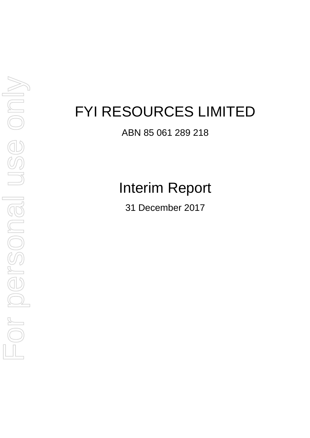ABN 85 061 289 218

Interim Report

31 December 2017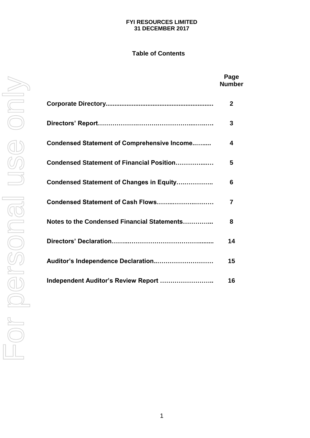# **FYI RESOURCES LIMITED 31 DECEMBER 2017**

# **Table of Contents**

|                                                    | Page<br><b>Number</b> |
|----------------------------------------------------|-----------------------|
|                                                    | $\mathbf{2}$          |
|                                                    | 3                     |
| <b>Condensed Statement of Comprehensive Income</b> | 4                     |
| Condensed Statement of Financial Position          | 5                     |
| Condensed Statement of Changes in Equity           | 6                     |
| Condensed Statement of Cash Flows                  | 7                     |
| Notes to the Condensed Financial Statements        | 8                     |
|                                                    | 14                    |
| Auditor's Independence Declaration                 | 15                    |
| Independent Auditor's Review Report                | 16                    |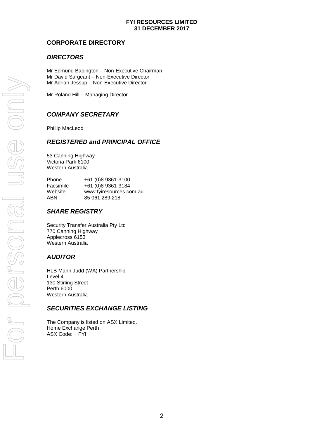# **FYI RESOURCES LIMITED 31 DECEMBER 2017**

# **CORPORATE DIRECTORY**

# *DIRECTORS*

Mr Edmund Babington – Non-Executive Chairman Mr David Sargeant – Non-Executive Director Mr Adrian Jessup – Non-Executive Director

Mr Roland Hill – Managing Director

# *COMPANY SECRETARY*

Phillip MacLeod

# *REGISTERED and PRINCIPAL OFFICE*

53 Canning Highway Victoria Park 6100 Western Australia

| <b>Phone</b> | +61 (0)8 9361-3100      |
|--------------|-------------------------|
| Facsimile    | +61 (0)8 9361-3184      |
| Website      | www.fyiresources.com.au |
| ABN          | 85 061 289 218          |

# *SHARE REGISTRY*

Security Transfer Australia Pty Ltd 770 Canning Highway Applecross 6153 Western Australia

# *AUDITOR*

HLB Mann Judd (WA) Partnership Level 4 130 Stirling Street Perth 6000 Western Australia

# *SECURITIES EXCHANGE LISTING*

The Company is listed on ASX Limited. Home Exchange Perth ASX Code: FYI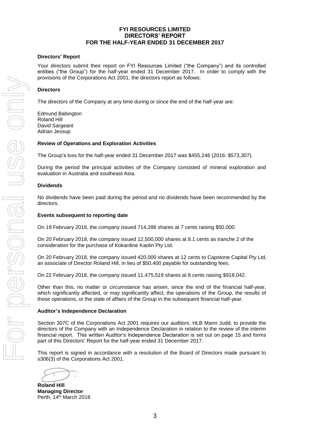# **FYI RESOURCES LIMITED DIRECTORS' REPORT FOR THE HALF-YEAR ENDED 31 DECEMBER 2017**

## **Directors' Report**

Your directors submit their report on FYI Resources Limited ("the Company") and its controlled entities ("the Group") for the half-year ended 31 December 2017. In order to comply with the provisions of the Corporations Act 2001, the directors report as follows:

#### **Directors**

The directors of the Company at any time during or since the end of the half-year are:

Edmund Babington Roland Hill David Sargeant Adrian Jessup

## **Review of Operations and Exploration Activities**

The Group's loss for the half-year ended 31 December 2017 was \$455,246 (2016: \$573,307).

During the period the principal activities of the Company consisted of mineral exploration and evaluation in Australia and southeast Asia.

#### **Dividends**

No dividends have been paid during the period and no dividends have been recommended by the directors.

#### **Events subsequent to reporting date**

On 19 February 2018, the company issued 714,286 shares at 7 cents raising \$50,000.

On 20 February 2018, the company issued 12,500,000 shares at 8.1 cents as tranche 2 of the consideration for the purchase of Kokardine Kaolin Pty Ltd.

On 20 February 2018, the company issued 420,000 shares at 12 cents to Capstone Capital Pty Ltd, an associate of Director Roland Hill, in lieu of \$50,400 payable for outstanding fees.

On 22 February 2018, the company issued 11,475,519 shares at 8 cents raising \$918,042.

Other than this, no matter or circumstance has arisen, since the end of the financial half-year, which significantly affected, or may significantly affect, the operations of the Group, the results of those operations, or the state of affairs of the Group in the subsequent financial half-year.

#### **Auditor's Independence Declaration**

Section 307C of the Corporations Act 2001 requires our auditors, HLB Mann Judd, to provide the directors of the Company with an Independence Declaration in relation to the review of the interim financial report. This written Auditor's Independence Declaration is set out on page 15 and forms part of this Directors' Report for the half-year ended 31 December 2017.

This report is signed in accordance with a resolution of the Board of Directors made pursuant to s306(3) of the Corporations Act 2001.

**Roland Hill Managing Director** Perth, 14<sup>th</sup> March 2018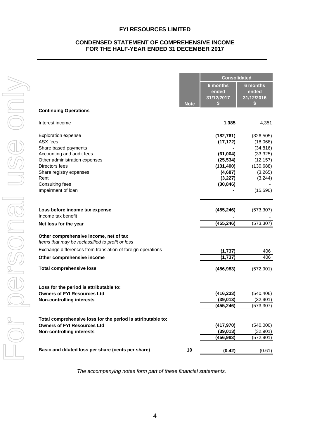# **CONDENSED STATEMENT OF COMPREHENSIVE INCOME FOR THE HALF-YEAR ENDED 31 DECEMBER 2017**

|   |                                                                                            |             | <b>Consolidated</b>             |                                      |
|---|--------------------------------------------------------------------------------------------|-------------|---------------------------------|--------------------------------------|
|   |                                                                                            | <b>Note</b> | 6 months<br>ended<br>31/12/2017 | 6 months<br>ended<br>31/12/2016<br>S |
|   | <b>Continuing Operations</b>                                                               |             |                                 |                                      |
|   | Interest income                                                                            |             | 1,385                           | 4,351                                |
|   | <b>Exploration expense</b>                                                                 |             | (182, 761)                      | (326, 505)                           |
|   | <b>ASX</b> fees                                                                            |             | (17, 172)                       | (18,068)                             |
|   | Share based payments                                                                       |             |                                 | (34, 816)                            |
|   | Accounting and audit fees                                                                  |             | (61,004)                        | (33, 325)                            |
|   | Other administration expenses                                                              |             | (25, 534)                       | (12, 157)                            |
|   | Directors fees                                                                             |             | (131, 400)                      | (130, 688)                           |
|   | Share registry expenses                                                                    |             | (4,687)                         | (3,265)                              |
|   | Rent                                                                                       |             | (3, 227)                        | (3,244)                              |
|   | Consulting fees<br>Impairment of loan                                                      |             | (30, 846)                       | (15, 590)                            |
|   | Loss before income tax expense<br>Income tax benefit                                       |             | (455, 246)                      | (573, 307)                           |
|   | Net loss for the year                                                                      |             | (455, 246)                      | (573, 307)                           |
|   | Other comprehensive income, net of tax<br>Items that may be reclassified to profit or loss |             |                                 |                                      |
|   | Exchange differences from translation of foreign operations                                |             | (1,737)                         | 406                                  |
|   | Other comprehensive income                                                                 |             | (1,737)                         | 406                                  |
|   | <b>Total comprehensive loss</b>                                                            |             | (456, 983)                      | (572, 901)                           |
|   | Loss for the period is attributable to:                                                    |             |                                 |                                      |
|   | <b>Owners of FYI Resources Ltd</b>                                                         |             | (416, 233)                      | (540, 406)                           |
|   | <b>Non-controlling interests</b>                                                           |             | (39, 013)                       | (32, 901)                            |
| J |                                                                                            |             | (455, 246)                      | (573, 307)                           |
|   | Total comprehensive loss for the period is attributable to:                                |             |                                 |                                      |
|   | <b>Owners of FYI Resources Ltd</b>                                                         |             | (417, 970)                      | (540,000)                            |
|   | <b>Non-controlling interests</b>                                                           |             | (39, 013)                       | (32, 901)                            |
|   |                                                                                            |             | (456, 983)                      | (572, 901)                           |
|   | Basic and diluted loss per share (cents per share)                                         | 10          | (0.42)                          | (0.61)                               |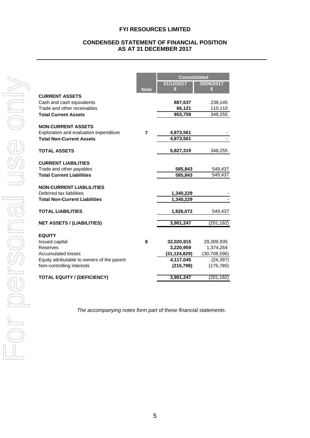## **CONDENSED STATEMENT OF FINANCIAL POSITION AS AT 31 DECEMBER 2017**

|                                                          |             | <b>Consolidated</b>         |                             |  |
|----------------------------------------------------------|-------------|-----------------------------|-----------------------------|--|
|                                                          |             | 31/12/2017                  | 30/06/2017                  |  |
|                                                          | <b>Note</b> | \$                          | S                           |  |
| <b>CURRENT ASSETS</b>                                    |             |                             |                             |  |
| Cash and cash equivalents<br>Trade and other receivables |             | 887,637                     | 238,145                     |  |
| <b>Total Current Assets</b>                              |             | 66,121<br>953,758           | 110,110<br>348,255          |  |
|                                                          |             |                             |                             |  |
| <b>NON-CURRENT ASSETS</b>                                |             |                             |                             |  |
| Exploration and evaluation expenditure                   | 7           | 4,873,561                   |                             |  |
| <b>Total Non-Current Assets</b>                          |             | 4,873,561                   |                             |  |
|                                                          |             |                             |                             |  |
| <b>TOTAL ASSETS</b>                                      |             | 5,827,319                   | 348,255                     |  |
| <b>CURRENT LIABILITIES</b>                               |             |                             |                             |  |
| Trade and other payables                                 |             | 585,843                     | 549,437                     |  |
| <b>Total Current Liabilities</b>                         |             | 585,843                     | 549,437                     |  |
|                                                          |             |                             |                             |  |
| <b>NON-CURRENT LIABLILITIES</b>                          |             |                             |                             |  |
| Deferred tax liabilities                                 |             | 1,340,229                   |                             |  |
| <b>Total Non-Current Liabilities</b>                     |             | 1,340,229                   |                             |  |
| <b>TOTAL LIABILITIES</b>                                 |             | 1,926,072                   | 549,437                     |  |
|                                                          |             |                             |                             |  |
| <b>NET ASSETS / (LIABILITIES)</b>                        |             | 3,901,247                   | (201, 182)                  |  |
|                                                          |             |                             |                             |  |
| <b>EQUITY</b>                                            |             |                             |                             |  |
| <b>Issued capital</b><br>Reserves                        | 8           | 32,020,915                  | 29,309,935                  |  |
| <b>Accumulated losses</b>                                |             | 3,220,959<br>(31, 124, 829) | 1,374,264<br>(30, 708, 596) |  |
| Equity attributable to owners of the parent              |             | 4,117,045                   | (24, 397)                   |  |
| Non-controlling interests                                |             | (215, 798)                  | (176, 785)                  |  |
|                                                          |             |                             |                             |  |
| <b>TOTAL EQUITY / (DEFICIENCY)</b>                       |             | 3,901,247                   | (201, 182)                  |  |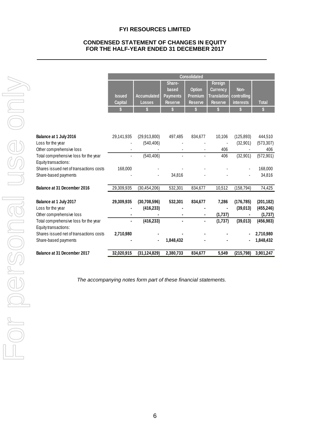# **CONDENSED STATEMENT OF CHANGES IN EQUITY FOR THE HALF-YEAR ENDED 31 DECEMBER 2017**

|                                                                 | <b>Consolidated</b> |                    |                 |                |                    |             |              |
|-----------------------------------------------------------------|---------------------|--------------------|-----------------|----------------|--------------------|-------------|--------------|
|                                                                 |                     |                    | Share-          |                | Foreign            |             |              |
|                                                                 |                     |                    | based           | <b>Option</b>  | <b>Currency</b>    | Non-        |              |
|                                                                 | <b>Issued</b>       | <b>Accumulated</b> | <b>Payments</b> | Premium        | <b>Translation</b> | controlling |              |
|                                                                 | <b>Capital</b>      | <b>Losses</b>      | <b>Reserve</b>  | <b>Reserve</b> | <b>Reserve</b>     | interests   | <b>Total</b> |
|                                                                 | \$                  |                    |                 |                |                    | \$          | \$           |
|                                                                 |                     |                    |                 |                |                    |             |              |
| Balance at 1 July 2016                                          | 29,141,935          | (29, 913, 800)     | 497,485         | 834,677        | 10,106             | (125, 893)  | 444,510      |
| Loss for the year                                               |                     | (540, 406)         |                 |                |                    | (32,901)    | (573, 307)   |
| Other comprehensive loss                                        |                     |                    |                 |                | 406                |             | 406          |
| Total comprehensive loss for the year                           |                     | (540, 406)         | ä,              |                | 406                | (32, 901)   | (572, 901)   |
| Equity transactions:<br>Shares issued net of transactions costs | 168,000             |                    |                 |                |                    |             | 168,000      |
| Share-based payments                                            |                     |                    | 34,816          |                |                    |             | 34,816       |
|                                                                 |                     |                    |                 |                |                    |             |              |
| Balance at 31 December 2016                                     | 29,309,935          | (30, 454, 206)     | 532,301         | 834,677        | 10,512             | (158, 794)  | 74,425       |
| Balance at 1 July 2017                                          | 29,309,935          | (30, 708, 596)     | 532,301         | 834,677        | 7,286              | (176, 785)  | (201, 182)   |
| Loss for the year                                               |                     | (416, 233)         |                 |                |                    | (39, 013)   | (455, 246)   |
| Other comprehensive loss                                        |                     |                    |                 |                | (1,737)            |             | (1,737)      |
| Total comprehensive loss for the year                           |                     | (416, 233)         | ä,              |                | (1,737)            | (39, 013)   | (456, 983)   |
| Equity transactions:<br>Shares issued net of transactions costs | 2,710,980           |                    |                 |                |                    |             | 2,710,980    |
| Share-based payments                                            |                     |                    | 1,848,432       |                |                    |             | 1,848,432    |
|                                                                 |                     |                    |                 |                |                    |             |              |
| Balance at 31 December 2017                                     | 32,020,915          | (31, 124, 829)     | 2,380,733       | 834,677        | 5,549              | (215, 798)  | 3,901,247    |
|                                                                 |                     |                    |                 |                |                    |             |              |
|                                                                 |                     |                    |                 |                |                    |             |              |
| The accompanying notes form part of these financial statements. |                     |                    |                 |                |                    |             |              |
|                                                                 |                     |                    |                 |                |                    |             |              |
|                                                                 |                     |                    |                 |                |                    |             |              |
|                                                                 |                     |                    |                 |                |                    |             |              |
|                                                                 |                     |                    |                 |                |                    |             |              |
|                                                                 |                     |                    |                 |                |                    |             |              |
|                                                                 |                     |                    |                 |                |                    |             |              |
|                                                                 |                     |                    |                 |                |                    |             |              |
|                                                                 |                     |                    |                 |                |                    |             |              |
|                                                                 |                     |                    |                 |                |                    |             |              |
|                                                                 |                     |                    |                 |                |                    |             |              |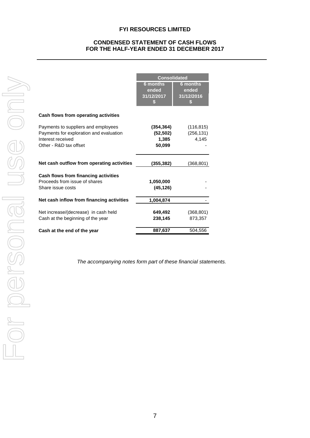# **CONDENSED STATEMENT OF CASH FLOWS FOR THE HALF-YEAR ENDED 31 DECEMBER 2017**

|                                                                                                                               | <b>Consolidated</b>                         |                                      |  |  |
|-------------------------------------------------------------------------------------------------------------------------------|---------------------------------------------|--------------------------------------|--|--|
|                                                                                                                               | <b>6 months</b><br>ended<br>31/12/2017<br>S | 6 months<br>ended<br>31/12/2016<br>S |  |  |
| Cash flows from operating activities                                                                                          |                                             |                                      |  |  |
| Payments to suppliers and employees<br>Payments for exploration and evaluation<br>Interest received<br>Other - R&D tax offset | (354, 364)<br>(52, 502)<br>1,385<br>50,099  | (116, 815)<br>(256, 131)<br>4,145    |  |  |
| Net cash outflow from operating activities                                                                                    | (355,382)                                   | (368,801)                            |  |  |
| Cash flows from financing activities<br>Proceeds from issue of shares<br>Share issue costs                                    | 1,050,000<br>(45, 126)                      |                                      |  |  |
| Net cash inflow from financing activities                                                                                     | 1,004,874                                   |                                      |  |  |
| Net increase/(decrease) in cash held<br>Cash at the beginning of the year                                                     | 649,492<br>238,145                          | (368, 801)<br>873,357                |  |  |
| Cash at the end of the year                                                                                                   | 887,637                                     | 504.556                              |  |  |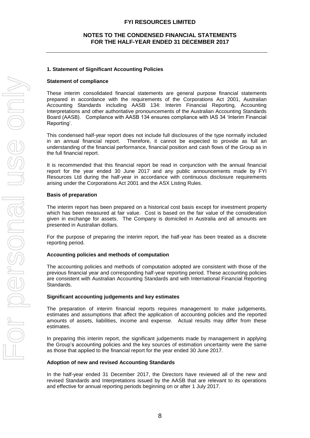## **1. Statement of Significant Accounting Policies**

#### **Statement of compliance**

These interim consolidated financial statements are general purpose financial statements prepared in accordance with the requirements of the Corporations Act 2001, Australian Accounting Standards including AASB 134: Interim Financial Reporting, Accounting Interpretations and other authoritative pronouncements of the Australian Accounting Standards Board (AASB). Compliance with AASB 134 ensures compliance with IAS 34 'Interim Financial Reporting'.

This condensed half-year report does not include full disclosures of the type normally included in an annual financial report. Therefore, it cannot be expected to provide as full an understanding of the financial performance, financial position and cash flows of the Group as in the full financial report.

It is recommended that this financial report be read in conjunction with the annual financial report for the year ended 30 June 2017 and any public announcements made by FYI Resources Ltd during the half-year in accordance with continuous disclosure requirements arising under the Corporations Act 2001 and the ASX Listing Rules.

## **Basis of preparation**

The interim report has been prepared on a historical cost basis except for investment property which has been measured at fair value. Cost is based on the fair value of the consideration given in exchange for assets. The Company is domiciled in Australia and all amounts are presented in Australian dollars.

For the purpose of preparing the interim report, the half-year has been treated as a discrete reporting period.

#### **Accounting policies and methods of computation**

The accounting policies and methods of computation adopted are consistent with those of the previous financial year and corresponding half-year reporting period. These accounting policies are consistent with Australian Accounting Standards and with International Financial Reporting Standards.

#### **Significant accounting judgements and key estimates**

The preparation of interim financial reports requires management to make judgements, estimates and assumptions that affect the application of accounting policies and the reported amounts of assets, liabilities, income and expense. Actual results may differ from these estimates.

In preparing this interim report, the significant judgements made by management in applying the Group's accounting policies and the key sources of estimation uncertainty were the same as those that applied to the financial report for the year ended 30 June 2017.

#### **Adoption of new and revised Accounting Standards**

In the half-year ended 31 December 2017, the Directors have reviewed all of the new and revised Standards and Interpretations issued by the AASB that are relevant to its operations and effective for annual reporting periods beginning on or after 1 July 2017.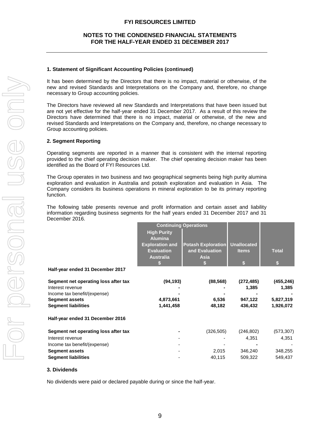#### **1. Statement of Significant Accounting Policies (continued)**

It has been determined by the Directors that there is no impact, material or otherwise, of the new and revised Standards and Interpretations on the Company and, therefore, no change necessary to Group accounting policies.

The Directors have reviewed all new Standards and Interpretations that have been issued but are not yet effective for the half-year ended 31 December 2017. As a result of this review the Directors have determined that there is no impact, material or otherwise, of the new and revised Standards and Interpretations on the Company and, therefore, no change necessary to Group accounting policies.

#### **2. Segment Reporting**

Operating segments are reported in a manner that is consistent with the internal reporting provided to the chief operating decision maker. The chief operating decision maker has been identified as the Board of FYI Resources Ltd.

The Group operates in two business and two geographical segments being high purity alumina exploration and evaluation in Australia and potash exploration and evaluation in Asia. The Company considers its business operations in mineral exploration to be its primary reporting function.

The following table presents revenue and profit information and certain asset and liability information regarding business segments for the half years ended 31 December 2017 and 31 December 2016.

|                                      |                        | <b>Continuing Operations</b> |                    |              |
|--------------------------------------|------------------------|------------------------------|--------------------|--------------|
|                                      | <b>High Purity</b>     |                              |                    |              |
|                                      | <b>Alumina</b>         |                              |                    |              |
|                                      | <b>Exploration and</b> | <b>Potash Exploration</b>    | <b>Unallocated</b> |              |
|                                      | <b>Evaluation</b>      | and Evaluation               | <b>Items</b>       | <b>Total</b> |
|                                      | <b>Australia</b>       | <b>Asia</b>                  |                    |              |
|                                      |                        |                              |                    |              |
| Half-year ended 31 December 2017     |                        |                              |                    |              |
| Segment net operating loss after tax | (94, 193)              | (88, 568)                    | (272, 485)         | (455, 246)   |
| Interest revenue                     |                        |                              | 1,385              | 1,385        |
| Income tax benefit/(expense)         |                        |                              |                    |              |
| <b>Segment assets</b>                | 4,873,661              | 6,536                        | 947,122            | 5,827,319    |
| <b>Segment liabilities</b>           | 1,441,458              | 48,182                       | 436,432            | 1,926,072    |
| Half-year ended 31 December 2016     |                        |                              |                    |              |
| Segment net operating loss after tax |                        | (326, 505)                   | (246, 802)         | (573, 307)   |
| Interest revenue                     |                        |                              | 4,351              | 4,351        |
| Income tax benefit/(expense)         |                        |                              |                    |              |
| <b>Segment assets</b>                |                        | 2,015                        | 346,240            | 348,255      |
| <b>Segment liabilities</b>           |                        | 40,115                       | 509,322            | 549,437      |
|                                      |                        |                              |                    |              |

#### **3. Dividends**

No dividends were paid or declared payable during or since the half-year.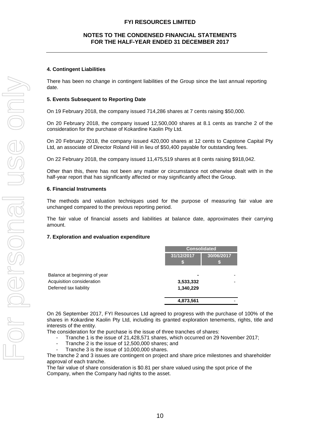## **NOTES TO THE CONDENSED FINANCIAL STATEMENTS FOR THE HALF-YEAR ENDED 31 DECEMBER 2017**

#### **4. Contingent Liabilities**

There has been no change in contingent liabilities of the Group since the last annual reporting date.

#### **5. Events Subsequent to Reporting Date**

On 19 February 2018, the company issued 714,286 shares at 7 cents raising \$50,000.

On 20 February 2018, the company issued 12,500,000 shares at 8.1 cents as tranche 2 of the consideration for the purchase of Kokardine Kaolin Pty Ltd.

On 20 February 2018, the company issued 420,000 shares at 12 cents to Capstone Capital Pty Ltd, an associate of Director Roland Hill in lieu of \$50,400 payable for outstanding fees.

On 22 February 2018, the company issued 11,475,519 shares at 8 cents raising \$918,042.

Other than this, there has not been any matter or circumstance not otherwise dealt with in the half-year report that has significantly affected or may significantly affect the Group.

#### **6. Financial Instruments**

The methods and valuation techniques used for the purpose of measuring fair value are unchanged compared to the previous reporting period.

The fair value of financial assets and liabilities at balance date, approximates their carrying amount.

#### **7. Exploration and evaluation expenditure**

|                                                           | <b>Consolidated</b> |            |
|-----------------------------------------------------------|---------------------|------------|
|                                                           | 31/12/2017<br>S     | 30/06/2017 |
| Balance at beginning of year<br>Acquisition consideration | 3,533,332           |            |
| Deferred tax liability                                    | 1,340,229           |            |
|                                                           | 4,873,561           |            |

On 26 September 2017, FYI Resources Ltd agreed to progress with the purchase of 100% of the shares in Kokardine Kaolin Pty Ltd, including its granted exploration tenements, rights, title and interests of the entity.

The consideration for the purchase is the issue of three tranches of shares:

- Tranche 1 is the issue of 21,428,571 shares, which occurred on 29 November 2017;
- Tranche 2 is the issue of 12,500,000 shares; and
- Tranche 3 is the issue of 10,000,000 shares.

The tranche 2 and 3 issues are contingent on project and share price milestones and shareholder approval of each tranche.

The fair value of share consideration is \$0.81 per share valued using the spot price of the Company, when the Company had rights to the asset.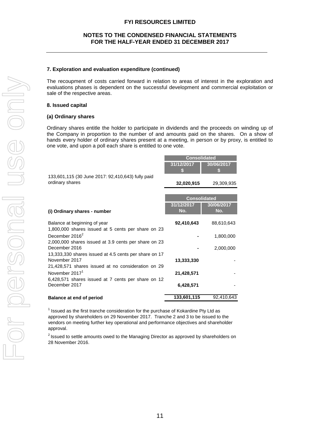#### **7. Exploration and evaluation expenditure (continued)**

The recoupment of costs carried forward in relation to areas of interest in the exploration and evaluations phases is dependent on the successful development and commercial exploitation or sale of the respective areas.

#### **8. Issued capital**

#### **(a) Ordinary shares**

Ordinary shares entitle the holder to participate in dividends and the proceeds on winding up of the Company in proportion to the number of and amounts paid on the shares. On a show of hands every holder of ordinary shares present at a meeting, in person or by proxy, is entitled to one vote, and upon a poll each share is entitled to one vote.

|                                                                       | <b>Consolidated</b> |                     |
|-----------------------------------------------------------------------|---------------------|---------------------|
|                                                                       | 31/12/2017          | 30/06/2017          |
| 133,601,115 (30 June 2017: 92,410,643) fully paid                     |                     |                     |
| ordinary shares                                                       | 32,020,915          | 29,309,935          |
|                                                                       |                     |                     |
|                                                                       |                     | <b>Consolidated</b> |
| (i) Ordinary shares - number                                          | 31/12/2017<br>No.   | 30/06/2017<br>No.   |
|                                                                       |                     |                     |
| Balance at beginning of year                                          | 92,410,643          | 88,610,643          |
| 1,800,000 shares issued at 5 cents per share on 23                    |                     |                     |
| December 2016 <sup>2</sup>                                            |                     | 1,800,000           |
| 2,000,000 shares issued at 3.9 cents per share on 23<br>December 2016 |                     | 2,000,000           |
| 13,333,330 shares issued at 4.5 cents per share on 17                 |                     |                     |
| November 2017                                                         | 13,333,330          |                     |
| 21,428,571 shares issued at no consideration on 29                    |                     |                     |
| November 2017 <sup>1</sup>                                            | 21,428,571          |                     |
| 6,428,571 shares issued at 7 cents per share on 12                    |                     |                     |
| December 2017                                                         | 6,428,571           |                     |
| <b>Balance at end of period</b>                                       | 133,601,115         | 92,410,643          |

 $1$  Issued as the first tranche consideration for the purchase of Kokardine Pty Ltd as approved by shareholders on 29 November 2017. Tranche 2 and 3 to be issued to the vendors on meeting further key operational and performance objectives and shareholder

 $2$  Issued to settle amounts owed to the Managing Director as approved by shareholders on 28 November 2016.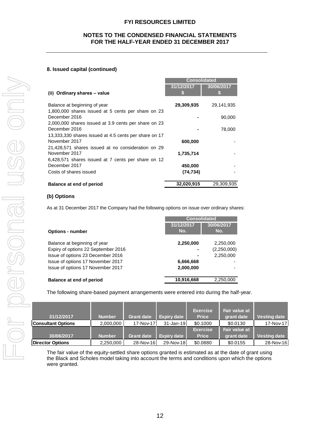## **8. Issued capital (continued)**

|                                                                                                                                                                                                          |                            |                                |                                 | <b>Consolidated</b>      |                   |                        |                                  |
|----------------------------------------------------------------------------------------------------------------------------------------------------------------------------------------------------------|----------------------------|--------------------------------|---------------------------------|--------------------------|-------------------|------------------------|----------------------------------|
| (ii) Ordinary shares - value                                                                                                                                                                             |                            |                                | 31/12/2017                      |                          | 30/06/2017        |                        |                                  |
| Balance at beginning of year                                                                                                                                                                             |                            |                                | 29,309,935                      |                          |                   | 29,141,935             |                                  |
| 1,800,000 shares issued at 5 cents per share on 23                                                                                                                                                       |                            |                                |                                 |                          |                   |                        |                                  |
| December 2016                                                                                                                                                                                            |                            |                                |                                 |                          |                   | 90,000                 |                                  |
| 2,000,000 shares issued at 3.9 cents per share on 23<br>December 2016                                                                                                                                    |                            |                                |                                 |                          |                   | 78,000                 |                                  |
| 13,333,330 shares issued at 4.5 cents per share on 17                                                                                                                                                    |                            |                                |                                 |                          |                   |                        |                                  |
| November 2017                                                                                                                                                                                            |                            |                                |                                 | 600,000                  |                   |                        |                                  |
| 21,428,571 shares issued at no consideration on 29<br>November 2017                                                                                                                                      |                            |                                |                                 | 1,735,714                |                   |                        |                                  |
| 6,428,571 shares issued at 7 cents per share on 12                                                                                                                                                       |                            |                                |                                 |                          |                   |                        |                                  |
| December 2017                                                                                                                                                                                            |                            |                                |                                 | 450,000                  |                   |                        |                                  |
| Costs of shares issued                                                                                                                                                                                   |                            |                                |                                 | (74, 734)                |                   |                        |                                  |
| <b>Balance at end of period</b>                                                                                                                                                                          |                            |                                |                                 | 32,020,915               |                   | 29,309,935             |                                  |
| (b) Options                                                                                                                                                                                              |                            |                                |                                 |                          |                   |                        |                                  |
| As at 31 December 2017 the Company had the following options on issue over ordinary shares:                                                                                                              |                            |                                |                                 |                          |                   |                        |                                  |
|                                                                                                                                                                                                          |                            |                                |                                 | <b>Consolidated</b>      |                   |                        |                                  |
|                                                                                                                                                                                                          |                            |                                | 31/12/2017<br>No.               |                          | 30/06/2017<br>No. |                        |                                  |
| <b>Options - number</b>                                                                                                                                                                                  |                            |                                |                                 |                          |                   |                        |                                  |
| Balance at beginning of year                                                                                                                                                                             |                            |                                |                                 | 2,250,000                |                   | 2,250,000              |                                  |
| Expiry of options 22 September 2016                                                                                                                                                                      |                            |                                |                                 |                          |                   | (2,250,000)            |                                  |
| Issue of options 23 December 2016                                                                                                                                                                        |                            |                                |                                 |                          |                   | 2,250,000              |                                  |
| Issue of options 17 November 2017<br>Issue of options 17 November 2017                                                                                                                                   |                            |                                |                                 | 6,666,668<br>2,000,000   |                   |                        |                                  |
|                                                                                                                                                                                                          |                            |                                |                                 |                          |                   |                        |                                  |
| <b>Balance at end of period</b>                                                                                                                                                                          |                            |                                | 10,916,668                      |                          |                   | 2,250,000              |                                  |
| The following share-based payment arrangements were entered into during the half-year.                                                                                                                   |                            |                                |                                 |                          |                   |                        |                                  |
|                                                                                                                                                                                                          |                            |                                |                                 |                          |                   |                        |                                  |
|                                                                                                                                                                                                          |                            |                                |                                 |                          |                   |                        |                                  |
|                                                                                                                                                                                                          |                            |                                |                                 | <b>Exercise</b>          |                   | Fair value at          |                                  |
| 31/12/2017<br><b>Consultant Options</b>                                                                                                                                                                  | <b>Number</b><br>2,000,000 | <b>Grant date</b><br>17-Nov-17 | <b>Expiry date</b><br>31-Jan-19 | <b>Price</b><br>\$0.1000 |                   | grant date<br>\$0.0130 | <b>Vesting date</b><br>17-Nov-17 |
|                                                                                                                                                                                                          |                            |                                |                                 |                          | <b>Exercise</b>   | Fair value at          |                                  |
| 30/06/2017                                                                                                                                                                                               | <b>Number</b>              | <b>Grant date</b>              | <b>Expiry date</b>              |                          | <b>Price</b>      | grant date             | <b>Vesting date</b>              |
| <b>Director Options</b>                                                                                                                                                                                  | 2,250,000                  | 28-Nov-16                      | 29-Nov-18                       | \$0.0880                 |                   | \$0.0155               | 28-Nov-16                        |
| The fair value of the equity-settled share options granted is estimated as at the date of grant using<br>the Black and Scholes model taking into account the terms and conditions upon which the options |                            |                                |                                 |                          |                   |                        |                                  |

## **(b) Options**

|                                     | <b>Consolidated</b> |             |  |  |
|-------------------------------------|---------------------|-------------|--|--|
|                                     | 31/12/2017          | 30/06/2017  |  |  |
| <b>Options - number</b>             | No.                 | No.         |  |  |
| Balance at beginning of year        | 2,250,000           | 2,250,000   |  |  |
| Expiry of options 22 September 2016 |                     | (2,250,000) |  |  |
| Issue of options 23 December 2016   | -                   | 2,250,000   |  |  |
| Issue of options 17 November 2017   | 6,666,668           |             |  |  |
| Issue of options 17 November 2017   | 2,000,000           |             |  |  |
| <b>Balance at end of period</b>     | 10,916,668          | 2,250,000   |  |  |

| 31/12/2017                | <b>Number</b> | <b>Grant date</b> | <b>Expiry date</b> | <b>Exercise</b><br><b>Price</b> | Fair value at<br>grant date | <b>Vesting date</b> |
|---------------------------|---------------|-------------------|--------------------|---------------------------------|-----------------------------|---------------------|
| <b>Consultant Options</b> | 2,000,000     | 17-Nov-17         | $31 - Jan-19$      | \$0.1000                        | \$0.0130                    | 17-Nov-17           |
|                           |               |                   |                    | <b>Exercise</b>                 | Fair value at               |                     |
| 30/06/2017                | <b>Number</b> | <b>Grant date</b> | <b>Expiry date</b> | <b>Price</b>                    | grant date                  | <b>Vesting date</b> |
| <b>Director Options</b>   | 2,250,000     | 28-Nov-16         | 29-Nov-18          | \$0.0880                        | \$0.0155                    | 28-Nov-16           |

The fair value of the equity-settled share options granted is estimated as at the date of grant using the Black and Scholes model taking into account the terms and conditions upon which the options were granted.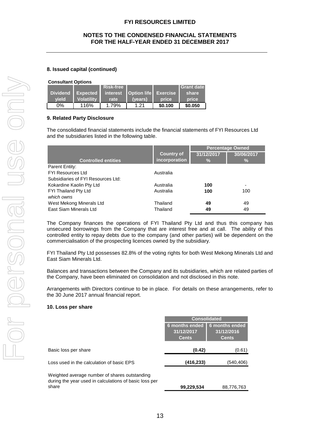## **8. Issued capital (continued)**

#### **Consultant Options**

|                 |                   | Risk-free       |             |              | <b>IGrant date</b> |  |  |  |
|-----------------|-------------------|-----------------|-------------|--------------|--------------------|--|--|--|
| <b>Dividend</b> | Expected          | <b>interest</b> | Option life | Exercise     | share              |  |  |  |
| vield           | <b>Volatility</b> | rate            | (vears)     | <b>price</b> | <b>price</b>       |  |  |  |
| 0%              | 116%              | 1.79%           | 1.21        | \$0.100      | \$0,050            |  |  |  |

## **9. Related Party Disclosure**

The consolidated financial statements include the financial statements of FYI Resources Ltd and the subsidiaries listed in the following table.

|                                    |                                    | <b>Percentage Owned</b> |                             |
|------------------------------------|------------------------------------|-------------------------|-----------------------------|
| <b>Controlled entities</b>         | <b>Country of</b><br>incorporation | 31/12/2017<br>℅         | 30/06/2017<br>$\frac{9}{6}$ |
| Parent Entity:                     |                                    |                         |                             |
| <b>FYI Resources Ltd</b>           | Australia                          |                         |                             |
| Subsidiaries of FYI Resources Ltd: |                                    |                         |                             |
| Kokardine Kaolin Pty Ltd           | Australia                          | 100                     | -                           |
| FYI Thailand Pty Ltd               | Australia                          | 100                     | 100                         |
| which owns                         |                                    |                         |                             |
| West Mekong Minerals Ltd           | Thailand                           | 49                      | 49                          |
| East Siam Minerals Ltd             | Thailand                           | 49                      | 49                          |

The Company finances the operations of FYI Thailand Pty Ltd and thus this company has unsecured borrowings from the Company that are interest free and at call. The ability of this controlled entity to repay debts due to the company (and other parties) will be dependent on the commercialisation of the prospecting licences owned by the subsidiary.

FYI Thailand Pty Ltd possesses 82.8% of the voting rights for both West Mekong Minerals Ltd and East Siam Minerals Ltd.

Balances and transactions between the Company and its subsidiaries, which are related parties of the Company, have been eliminated on consolidation and not disclosed in this note.

Arrangements with Directors continue to be in place. For details on these arrangements, refer to the 30 June 2017 annual financial report.

#### **10. Loss per share**

|                                                                                                                  | <b>Consolidated</b>                          |                                                     |  |
|------------------------------------------------------------------------------------------------------------------|----------------------------------------------|-----------------------------------------------------|--|
|                                                                                                                  | 6 months ended<br>31/12/2017<br><b>Cents</b> | <b>6 months ended</b><br>31/12/2016<br><b>Cents</b> |  |
| Basic loss per share                                                                                             | (0.42)                                       | (0.61)                                              |  |
| Loss used in the calculation of basic EPS                                                                        | (416, 233)                                   | (540,406)                                           |  |
| Weighted average number of shares outstanding<br>during the year used in calculations of basic loss per<br>share | 99,229,534                                   | 88.776.763                                          |  |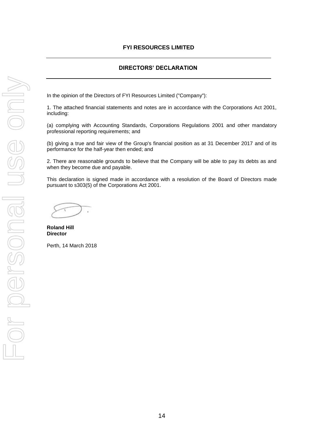# **DIRECTORS' DECLARATION**

In the opinion of the Directors of FYI Resources Limited ("Company"):

1. The attached financial statements and notes are in accordance with the Corporations Act 2001, including:

(a) complying with Accounting Standards, Corporations Regulations 2001 and other mandatory professional reporting requirements; and

(b) giving a true and fair view of the Group's financial position as at 31 December 2017 and of its performance for the half-year then ended; and

2. There are reasonable grounds to believe that the Company will be able to pay its debts as and when they become due and payable.

This declaration is signed made in accordance with a resolution of the Board of Directors made pursuant to s303(5) of the Corporations Act 2001.

**Roland Hill Director**

Perth, 14 March 2018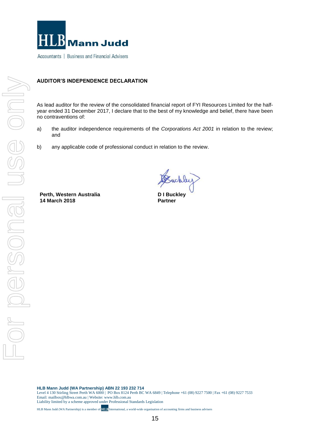

Accountants | Business and Financial Advisers

## **AUDITOR'S INDEPENDENCE DECLARATION**

As lead auditor for the review of the consolidated financial report of FYI Resources Limited for the halfyear ended 31 December 2017, I declare that to the best of my knowledge and belief, there have been no contraventions of:

- a) the auditor independence requirements of the *Corporations Act 2001* in relation to the review; and
- b) any applicable code of professional conduct in relation to the review.

**Perth, Western Australia 14 March 2018**

Suckley

**D I Buckley Partner**

**HLB Mann Judd (WA Partnership) ABN 22 193 232 714**

Level 4 130 Stirling Street Perth WA 6000 | PO Box 8124 Perth BC WA 6849 | Telephone +61 (08) 9227 7500 | Fax +61 (08) 9227 7533 Email: mailbox@hlbwa.com.au | Website: www.hlb.com.au Liability limited by a scheme approved under Professional Standards Legislation

HLB Mann Judd (WA Partnership) is a member of **HLB** International, a world-wide organisation of accounting firms and business advisers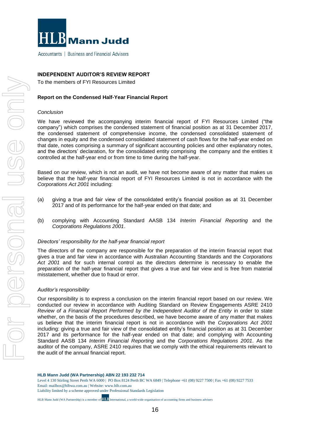

Accountants | Business and Financial Advisers

## **INDEPENDENT AUDITOR'S REVIEW REPORT**

To the members of FYI Resources Limited

## **Report on the Condensed Half-Year Financial Report**

#### *Conclusion*

We have reviewed the accompanying interim financial report of FYI Resources Limited ("the company") which comprises the condensed statement of financial position as at 31 December 2017, the condensed statement of comprehensive income, the condensed consolidated statement of changes in equity and the condensed consolidated statement of cash flows for the half-year ended on that date, notes comprising a summary of significant accounting policies and other explanatory notes, and the directors' declaration, for the consolidated entity comprising the company and the entities it controlled at the half-year end or from time to time during the half-year.

Based on our review, which is not an audit, we have not become aware of any matter that makes us believe that the half-year financial report of FYI Resources Limited is not in accordance with the *Corporations Act 2001* including:

- (a) giving a true and fair view of the consolidated entity's financial position as at 31 December 2017 and of its performance for the half-year ended on that date; and
- (b) complying with Accounting Standard AASB 134 *Interim Financial Reporting* and the *Corporations Regulations 2001*.

#### *Directors' responsibility for the half-year financial report*

The directors of the company are responsible for the preparation of the interim financial report that gives a true and fair view in accordance with Australian Accounting Standards and the *Corporations Act 2001* and for such internal control as the directors determine is necessary to enable the preparation of the half-year financial report that gives a true and fair view and is free from material misstatement, whether due to fraud or error.

#### *Auditor's responsibility*

Our responsibility is to express a conclusion on the interim financial report based on our review. We conducted our review in accordance with Auditing Standard on Review Engagements ASRE 2410 *Review of a Financial Report Performed by the Independent Auditor of the Entity* in order to state whether, on the basis of the procedures described, we have become aware of any matter that makes us believe that the interim financial report is not in accordance with the *Corporations Act 2001*  including: giving a true and fair view of the consolidated entity's financial position as at 31 December 2017 and its performance for the half-year ended on that date; and complying with Accounting Standard AASB 134 *Interim Financial Reporting* and the *Corporations Regulations 2001*. As the auditor of the company, ASRE 2410 requires that we comply with the ethical requirements relevant to the audit of the annual financial report.

**HLB Mann Judd (WA Partnership) ABN 22 193 232 714**

Level 4 130 Stirling Street Perth WA 6000 | PO Box 8124 Perth BC WA 6849 | Telephone +61 (08) 9227 7500 | Fax +61 (08) 9227 7533 Email: mailbox@hlbwa.com.au | Website: www.hlb.com.au Liability limited by a scheme approved under Professional Standards Legislation

HLB Mann Judd (WA Partnership) is a member of **HLB** International, a world-wide organisation of accounting firms and business advisers